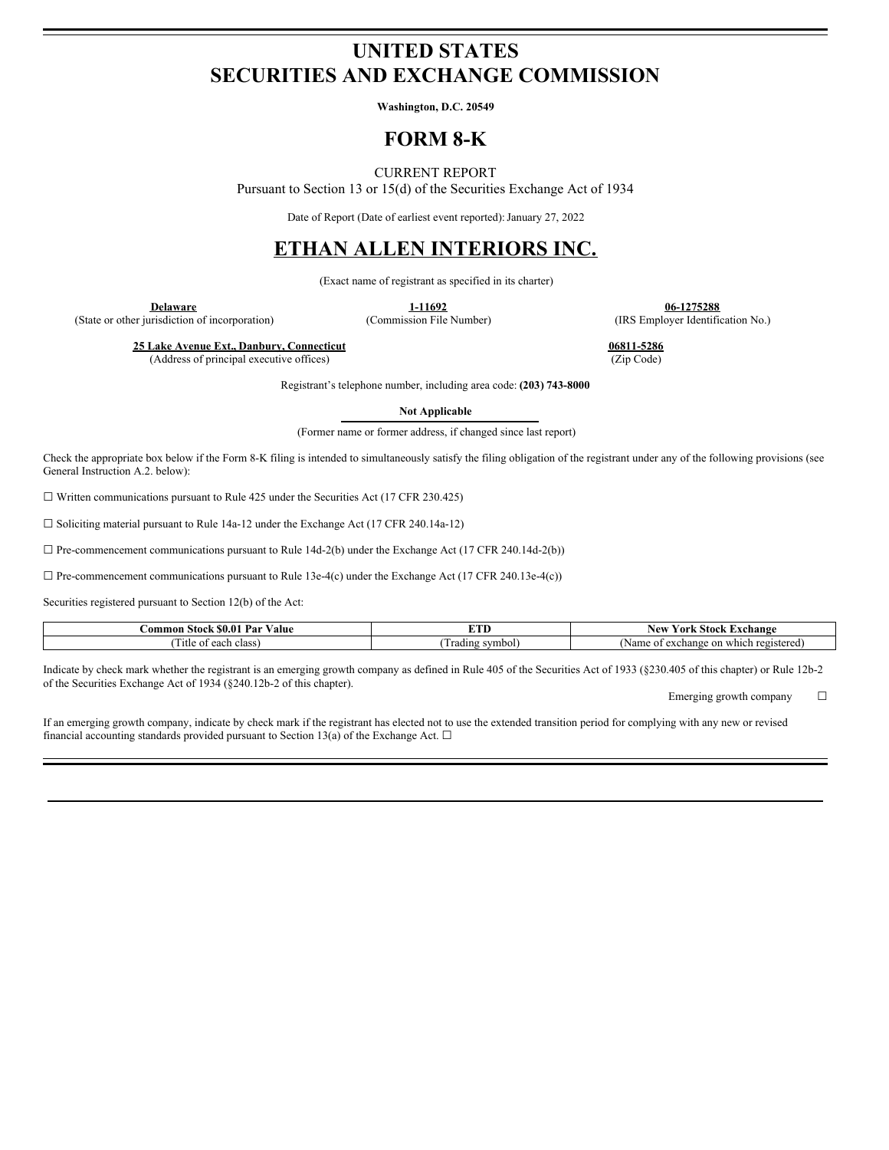# **UNITED STATES SECURITIES AND EXCHANGE COMMISSION**

**Washington, D.C. 20549**

## **FORM 8-K**

## CURRENT REPORT

Pursuant to Section 13 or 15(d) of the Securities Exchange Act of 1934

Date of Report (Date of earliest event reported): January 27, 2022

## **ETHAN ALLEN INTERIORS INC.**

(Exact name of registrant as specified in its charter)

**Delaware 1-11692 06-1275288** (State or other jurisdiction of incorporation) (Commission File Number) (IRS Employer Identification No.)

**25 Lake Avenue Ext., Danbury, Connecticut 06811-5286**

(Address of principal executive offices) (Zip Code)

Registrant's telephone number, including area code: **(203) 743-8000**

**Not Applicable**

(Former name or former address, if changed since last report)

Check the appropriate box below if the Form 8-K filing is intended to simultaneously satisfy the filing obligation of the registrant under any of the following provisions (see General Instruction A.2. below):

 $\Box$  Written communications pursuant to Rule 425 under the Securities Act (17 CFR 230.425)

☐ Soliciting material pursuant to Rule 14a-12 under the Exchange Act (17 CFR 240.14a-12)

 $\Box$  Pre-commencement communications pursuant to Rule 14d-2(b) under the Exchange Act (17 CFR 240.14d-2(b))

 $\Box$  Pre-commencement communications pursuant to Rule 13e-4(c) under the Exchange Act (17 CFR 240.13e-4(c))

Securities registered pursuant to Section 12(b) of the Act:

| Par<br>SO.O1<br>Value<br>ommon<br>Stock | <b>DOD</b>      | . Exchange<br>Stock<br>New<br>∕ or                    |  |  |  |  |
|-----------------------------------------|-----------------|-------------------------------------------------------|--|--|--|--|
| class<br>l 1th<br><b>Caci</b>           | Trading symbol) | Name<br>registered v<br>which:<br>$\sim$<br>– xchange |  |  |  |  |

Indicate by check mark whether the registrant is an emerging growth company as defined in Rule 405 of the Securities Act of 1933 (§230.405 of this chapter) or Rule 12b-2 of the Securities Exchange Act of 1934 (§240.12b-2 of this chapter).

Emerging growth company  $\Box$ 

If an emerging growth company, indicate by check mark if the registrant has elected not to use the extended transition period for complying with any new or revised financial accounting standards provided pursuant to Section 13(a) of the Exchange Act.  $\Box$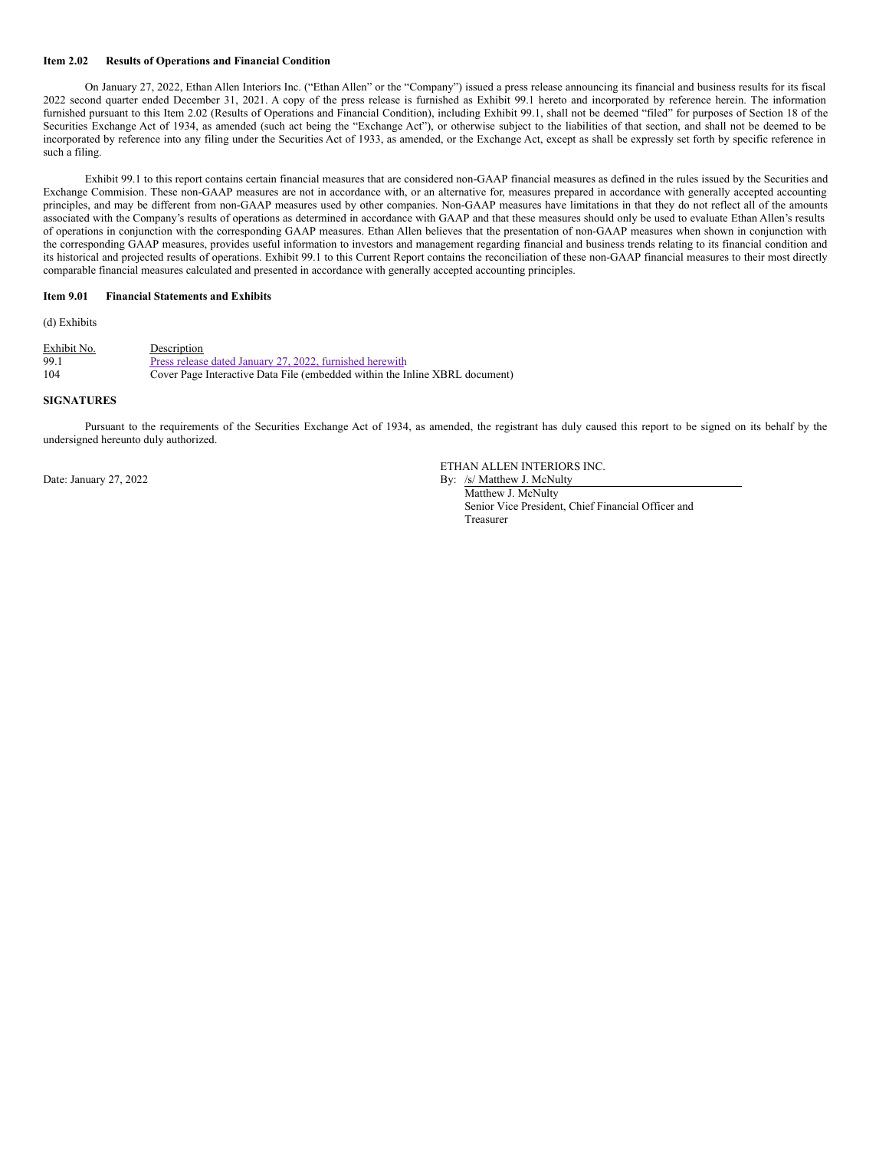#### **Item 2.02 Results of Operations and Financial Condition**

On January 27, 2022, Ethan Allen Interiors Inc. ("Ethan Allen" or the "Company") issued a press release announcing its financial and business results for its fiscal 2022 second quarter ended December 31, 2021. A copy of the press release is furnished as Exhibit 99.1 hereto and incorporated by reference herein. The information furnished pursuant to this Item 2.02 (Results of Operations and Financial Condition), including Exhibit 99.1, shall not be deemed "filed" for purposes of Section 18 of the Securities Exchange Act of 1934, as amended (such act being the "Exchange Act"), or otherwise subject to the liabilities of that section, and shall not be deemed to be incorporated by reference into any filing under the Securities Act of 1933, as amended, or the Exchange Act, except as shall be expressly set forth by specific reference in such a filing.

Exhibit 99.1 to this report contains certain financial measures that are considered non-GAAP financial measures as defined in the rules issued by the Securities and Exchange Commision. These non-GAAP measures are not in accordance with, or an alternative for, measures prepared in accordance with generally accepted accounting principles, and may be different from non-GAAP measures used by other companies. Non-GAAP measures have limitations in that they do not reflect all of the amounts associated with the Company's results of operations as determined in accordance with GAAP and that these measures should only be used to evaluate Ethan Allen's results of operations in conjunction with the corresponding GAAP measures. Ethan Allen believes that the presentation of non-GAAP measures when shown in conjunction with the corresponding GAAP measures, provides useful information to investors and management regarding financial and business trends relating to its financial condition and its historical and projected results of operations. Exhibit 99.1 to this Current Report contains the reconciliation of these non-GAAP financial measures to their most directly comparable financial measures calculated and presented in accordance with generally accepted accounting principles.

## **Item 9.01 Financial Statements and Exhibits**

(d) Exhibits

| Exhibit No. | Description                                                                 |
|-------------|-----------------------------------------------------------------------------|
| 99.1        | Press release dated January 27, 2022, furnished herewith                    |
| 104         | Cover Page Interactive Data File (embedded within the Inline XBRL document) |

#### **SIGNATURES**

Pursuant to the requirements of the Securities Exchange Act of 1934, as amended, the registrant has duly caused this report to be signed on its behalf by the undersigned hereunto duly authorized.

Date: January 27, 2022 By: /s/ Matthew J. McNulty

ETHAN ALLEN INTERIORS INC.

Matthew J. McNulty Senior Vice President, Chief Financial Officer and Treasurer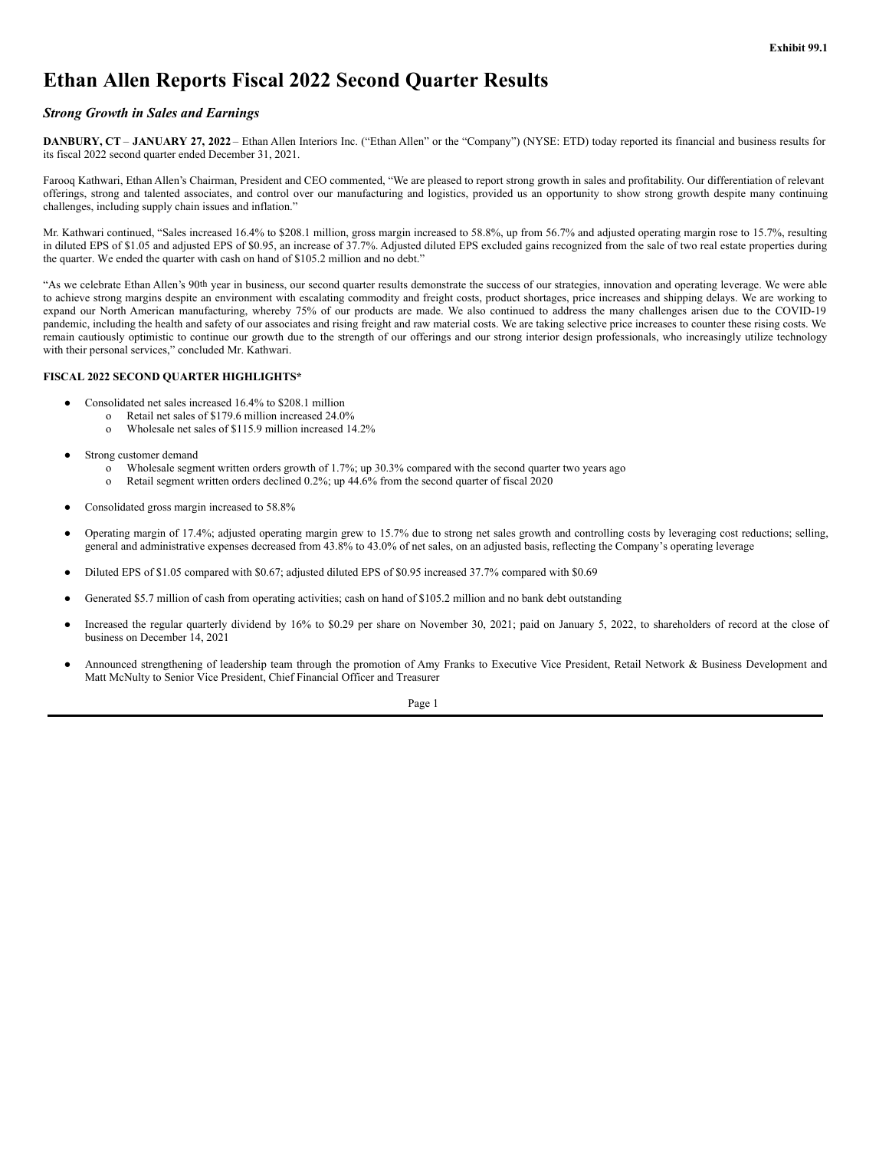## **Ethan Allen Reports Fiscal 2022 Second Quarter Results**

## *Strong Growth in Sales and Earnings*

**DANBURY, CT** – **JANUARY 27, 2022** – Ethan Allen Interiors Inc. ("Ethan Allen" or the "Company") (NYSE: ETD) today reported its financial and business results for its fiscal 2022 second quarter ended December 31, 2021.

Farooq Kathwari, Ethan Allen's Chairman, President and CEO commented, "We are pleased to report strong growth in sales and profitability. Our differentiation of relevant offerings, strong and talented associates, and control over our manufacturing and logistics, provided us an opportunity to show strong growth despite many continuing challenges, including supply chain issues and inflation."

Mr. Kathwari continued, "Sales increased 16.4% to \$208.1 million, gross margin increased to 58.8%, up from 56.7% and adjusted operating margin rose to 15.7%, resulting in diluted EPS of \$1.05 and adjusted EPS of \$0.95, an increase of 37.7%. Adjusted diluted EPS excluded gains recognized from the sale of two real estate properties during the quarter. We ended the quarter with cash on hand of \$105.2 million and no debt."

"As we celebrate Ethan Allen's 90th year in business, our second quarter results demonstrate the success of our strategies, innovation and operating leverage. We were able to achieve strong margins despite an environment with escalating commodity and freight costs, product shortages, price increases and shipping delays. We are working to expand our North American manufacturing, whereby 75% of our products are made. We also continued to address the many challenges arisen due to the COVID-19 pandemic, including the health and safety of our associates and rising freight and raw material costs. We are taking selective price increases to counter these rising costs. We remain cautiously optimistic to continue our growth due to the strength of our offerings and our strong interior design professionals, who increasingly utilize technology with their personal services," concluded Mr. Kathwari.

## **FISCAL 2022 SECOND QUARTER HIGHLIGHTS\***

- Consolidated net sales increased 16.4% to \$208.1 million
	- o Retail net sales of \$179.6 million increased 24.0%
	- o Wholesale net sales of \$115.9 million increased 14.2%
- Strong customer demand
	- o Wholesale segment written orders growth of 1.7%; up 30.3% compared with the second quarter two years ago
	- o Retail segment written orders declined 0.2%; up 44.6% from the second quarter of fiscal 2020
- Consolidated gross margin increased to 58.8%
- Operating margin of 17.4%; adjusted operating margin grew to 15.7% due to strong net sales growth and controlling costs by leveraging cost reductions; selling, general and administrative expenses decreased from 43.8% to 43.0% of net sales, on an adjusted basis, reflecting the Company's operating leverage
- Diluted EPS of \$1.05 compared with \$0.67; adjusted diluted EPS of \$0.95 increased 37.7% compared with \$0.69
- Generated \$5.7 million of cash from operating activities; cash on hand of \$105.2 million and no bank debt outstanding
- Increased the regular quarterly dividend by 16% to \$0.29 per share on November 30, 2021; paid on January 5, 2022, to shareholders of record at the close of business on December 14, 2021
- Announced strengthening of leadership team through the promotion of Amy Franks to Executive Vice President, Retail Network & Business Development and Matt McNulty to Senior Vice President, Chief Financial Officer and Treasurer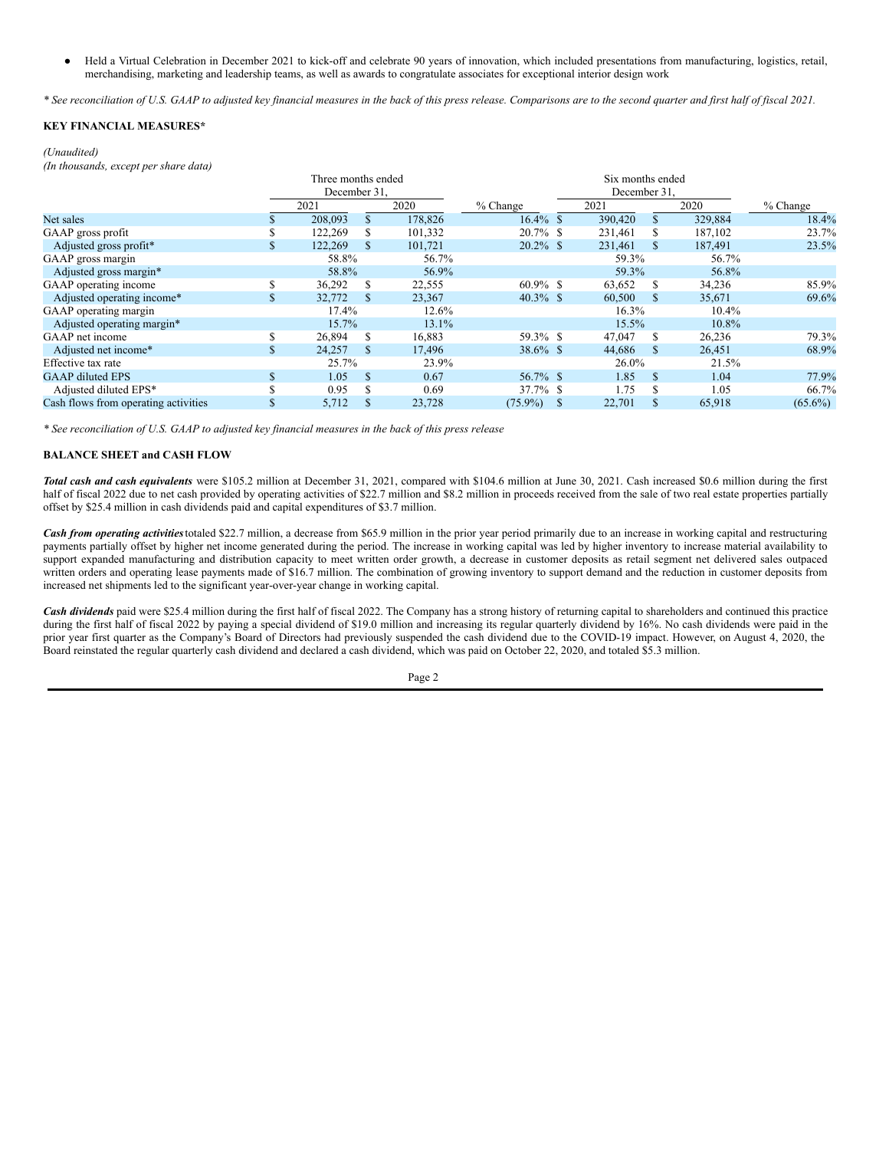● Held a Virtual Celebration in December 2021 to kick-off and celebrate 90 years of innovation, which included presentations from manufacturing, logistics, retail, merchandising, marketing and leadership teams, as well as awards to congratulate associates for exceptional interior design work

\* See reconciliation of U.S. GAAP to adjusted key financial measures in the back of this press release. Comparisons are to the second quarter and first half of fiscal 2021.

## **KEY FINANCIAL MEASURES\***

## *(Unaudited)*

*(In thousands, except per share data)*

|                                      |  | Three months ended |          |         |              |   |          |    |          |            |
|--------------------------------------|--|--------------------|----------|---------|--------------|---|----------|----|----------|------------|
|                                      |  | December 31.       |          |         | December 31, |   |          |    |          |            |
|                                      |  | 2021               | 2020     |         | $%$ Change   |   | 2021     |    | 2020     | % Change   |
| Net sales                            |  | 208,093            | S        | 178,826 | $16.4\%$ \$  |   | 390,420  | S. | 329,884  | 18.4%      |
| GAAP gross profit                    |  | 122,269            | \$.      | 101,332 | $20.7\%$ \$  |   | 231,461  |    | 187,102  | 23.7%      |
| Adjusted gross profit*               |  | 122,269            |          | 101,721 | $20.2\%$ \$  |   | 231,461  |    | 187,491  | 23.5%      |
| GAAP gross margin                    |  | 58.8%              |          | 56.7%   |              |   | 59.3%    |    | 56.7%    |            |
| Adjusted gross margin*               |  | 58.8%              |          | 56.9%   |              |   | 59.3%    |    | 56.8%    |            |
| GAAP operating income                |  | 36,292             | S        | 22,555  | $60.9\%$ \$  |   | 63,652   | S  | 34,236   | 85.9%      |
| Adjusted operating income*           |  | 32,772             |          | 23,367  | $40.3\%$ \$  |   | 60,500   |    | 35,671   | 69.6%      |
| GAAP operating margin                |  | 17.4%              |          | 12.6%   |              |   | $16.3\%$ |    | $10.4\%$ |            |
| Adjusted operating margin*           |  | 15.7%              |          | 13.1%   |              |   | 15.5%    |    | 10.8%    |            |
| GAAP net income                      |  | 26,894             | <b>S</b> | 16,883  | 59.3% \$     |   | 47,047   | S  | 26,236   | 79.3%      |
| Adjusted net income*                 |  | 24.257             |          | 17.496  | $38.6\%$ \$  |   | 44.686   |    | 26,451   | 68.9%      |
| Effective tax rate                   |  | 25.7%              |          | 23.9%   |              |   | 26.0%    |    | 21.5%    |            |
| <b>GAAP</b> diluted EPS              |  | 1.05               | S        | 0.67    | 56.7% \$     |   | 1.85     | S  | 1.04     | 77.9%      |
| Adjusted diluted EPS*                |  | 0.95               | \$.      | 0.69    | $37.7\%$ \$  |   | 1.75     | У  | 1.05     | 66.7%      |
| Cash flows from operating activities |  | 5,712              | S        | 23,728  | $(75.9\%)$   | S | 22,701   |    | 65,918   | $(65.6\%)$ |

\* See reconciliation of U.S. GAAP to adjusted key financial measures in the back of this press release

## **BALANCE SHEET and CASH FLOW**

*Total cash and cash equivalents* were \$105.2 million at December 31, 2021, compared with \$104.6 million at June 30, 2021. Cash increased \$0.6 million during the first half of fiscal 2022 due to net cash provided by operating activities of \$22.7 million and \$8.2 million in proceeds received from the sale of two real estate properties partially offset by \$25.4 million in cash dividends paid and capital expenditures of \$3.7 million.

**Cash from operating activities** totaled \$22.7 million, a decrease from \$65.9 million in the prior year period primarily due to an increase in working capital and restructuring payments partially offset by higher net income generated during the period. The increase in working capital was led by higher inventory to increase material availability to support expanded manufacturing and distribution capacity to meet written order growth, a decrease in customer deposits as retail segment net delivered sales outpaced written orders and operating lease payments made of \$16.7 million. The combination of growing inventory to support demand and the reduction in customer deposits from increased net shipments led to the significant year-over-year change in working capital.

*Cash dividends* paid were \$25.4 million during the first half of fiscal 2022. The Company has a strong history of returning capital to shareholders and continued this practice during the first half of fiscal 2022 by paying a special dividend of \$19.0 million and increasing its regular quarterly dividend by 16%. No cash dividends were paid in the prior year first quarter as the Company's Board of Directors had previously suspended the cash dividend due to the COVID-19 impact. However, on August 4, 2020, the Board reinstated the regular quarterly cash dividend and declared a cash dividend, which was paid on October 22, 2020, and totaled \$5.3 million.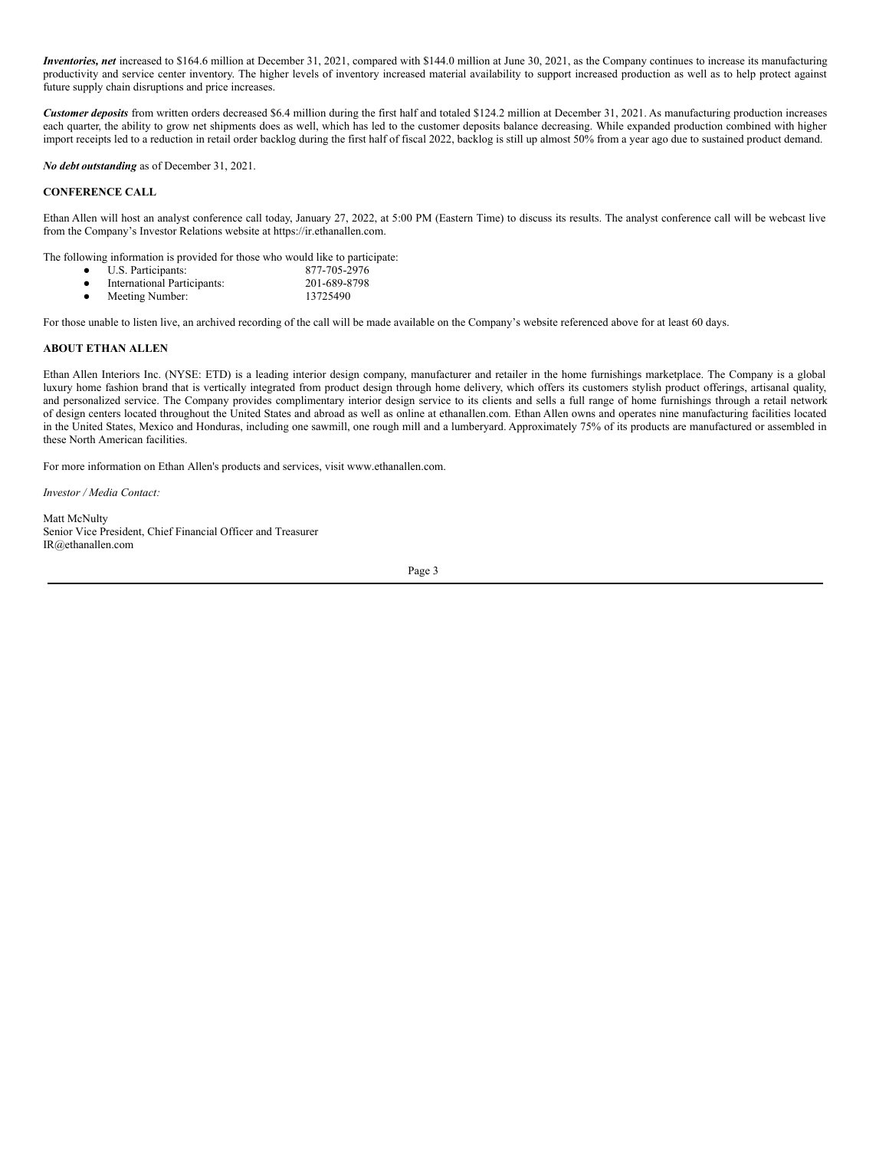*Inventories, net* increased to \$164.6 million at December 31, 2021, compared with \$144.0 million at June 30, 2021, as the Company continues to increase its manufacturing productivity and service center inventory. The higher levels of inventory increased material availability to support increased production as well as to help protect against future supply chain disruptions and price increases.

*Customer deposits* from written orders decreased \$6.4 million during the first half and totaled \$124.2 million at December 31, 2021. As manufacturing production increases each quarter, the ability to grow net shipments does as well, which has led to the customer deposits balance decreasing. While expanded production combined with higher import receipts led to a reduction in retail order backlog during the first half of fiscal 2022, backlog is still up almost 50% from a year ago due to sustained product demand.

*No debt outstanding* as of December 31, 2021.

### **CONFERENCE CALL**

Ethan Allen will host an analyst conference call today, January 27, 2022, at 5:00 PM (Eastern Time) to discuss its results. The analyst conference call will be webcast live from the Company's Investor Relations website at https://ir.ethanallen.com.

The following information is provided for those who would like to participate:

- U.S. Participants: 877-705-2976
- International Participants: 201-689-8798
- Meeting Number:

For those unable to listen live, an archived recording of the call will be made available on the Company's website referenced above for at least 60 days.

## **ABOUT ETHAN ALLEN**

Ethan Allen Interiors Inc. (NYSE: ETD) is a leading interior design company, manufacturer and retailer in the home furnishings marketplace. The Company is a global luxury home fashion brand that is vertically integrated from product design through home delivery, which offers its customers stylish product offerings, artisanal quality, and personalized service. The Company provides complimentary interior design service to its clients and sells a full range of home furnishings through a retail network of design centers located throughout the United States and abroad as well as online at ethanallen.com. Ethan Allen owns and operates nine manufacturing facilities located in the United States, Mexico and Honduras, including one sawmill, one rough mill and a lumberyard. Approximately 75% of its products are manufactured or assembled in these North American facilities.

For more information on Ethan Allen's products and services, visit www.ethanallen.com.

*Investor / Media Contact:*

Matt McNulty Senior Vice President, Chief Financial Officer and Treasurer IR@ethanallen.com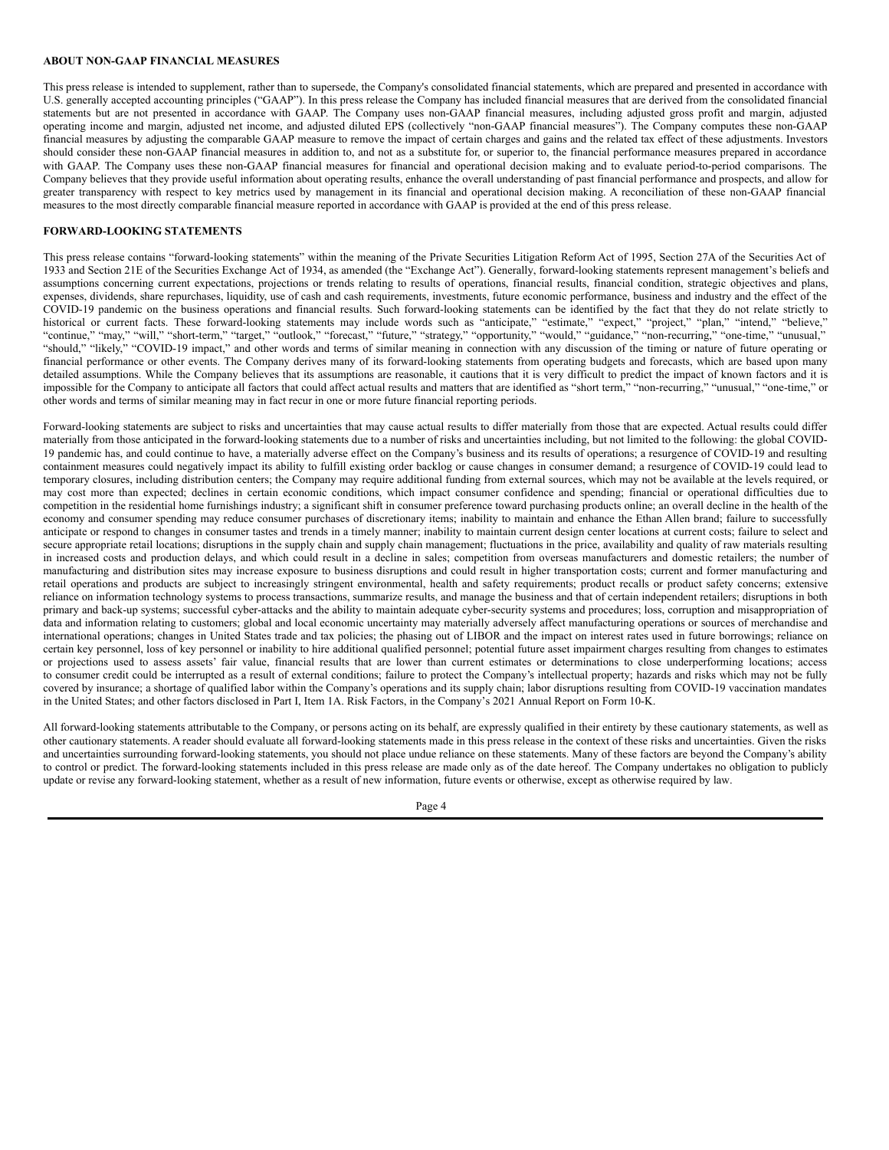## <span id="page-5-0"></span>**ABOUT NON-GAAP FINANCIAL MEASURES**

This press release is intended to supplement, rather than to supersede, the Company's consolidated financial statements, which are prepared and presented in accordance with U.S. generally accepted accounting principles ("GAAP"). In this press release the Company has included financial measures that are derived from the consolidated financial statements but are not presented in accordance with GAAP. The Company uses non-GAAP financial measures, including adjusted gross profit and margin, adjusted operating income and margin, adjusted net income, and adjusted diluted EPS (collectively "non-GAAP financial measures"). The Company computes these non-GAAP financial measures by adjusting the comparable GAAP measure to remove the impact of certain charges and gains and the related tax effect of these adjustments. Investors should consider these non-GAAP financial measures in addition to, and not as a substitute for, or superior to, the financial performance measures prepared in accordance with GAAP. The Company uses these non-GAAP financial measures for financial and operational decision making and to evaluate period-to-period comparisons. The Company believes that they provide useful information about operating results, enhance the overall understanding of past financial performance and prospects, and allow for greater transparency with respect to key metrics used by management in its financial and operational decision making. A reconciliation of these non-GAAP financial measures to the most directly comparable financial measure reported in accordance with GAAP is provided at the end of this press release.

## **FORWARD-LOOKING STATEMENTS**

This press release contains "forward-looking statements" within the meaning of the Private Securities Litigation Reform Act of 1995, Section 27A of the Securities Act of 1933 and Section 21E of the Securities Exchange Act of 1934, as amended (the "Exchange Act"). Generally, forward-looking statements represent management's beliefs and assumptions concerning current expectations, projections or trends relating to results of operations, financial results, financial condition, strategic objectives and plans, expenses, dividends, share repurchases, liquidity, use of cash and cash requirements, investments, future economic performance, business and industry and the effect of the COVID-19 pandemic on the business operations and financial results. Such forward-looking statements can be identified by the fact that they do not relate strictly to historical or current facts. These forward-looking statements may include words such as "anticipate," "estimate," "expect," "project," "plan," "intend," "believe," "continue," "may," "will," "short-term," "target," "outlook," "forecast," "future," "strategy," "opportunity," "would," "guidance," "non-recurring," "one-time," "unusual," "should," "likely," "COVID-19 impact," and other words and terms of similar meaning in connection with any discussion of the timing or nature of future operating or financial performance or other events. The Company derives many of its forward-looking statements from operating budgets and forecasts, which are based upon many detailed assumptions. While the Company believes that its assumptions are reasonable, it cautions that it is very difficult to predict the impact of known factors and it is impossible for the Company to anticipate all factors that could affect actual results and matters that are identified as "short term," "non-recurring," "unusual," "one-time," or other words and terms of similar meaning may in fact recur in one or more future financial reporting periods.

Forward-looking statements are subject to risks and uncertainties that may cause actual results to differ materially from those that are expected. Actual results could differ materially from those anticipated in the forward-looking statements due to a number of risks and uncertainties including, but not limited to the following: the global COVID-19 pandemic has, and could continue to have, a materially adverse effect on the Company's business and its results of operations; a resurgence of COVID-19 and resulting containment measures could negatively impact its ability to fulfill existing order backlog or cause changes in consumer demand; a resurgence of COVID-19 could lead to temporary closures, including distribution centers; the Company may require additional funding from external sources, which may not be available at the levels required, or may cost more than expected; declines in certain economic conditions, which impact consumer confidence and spending; financial or operational difficulties due to competition in the residential home furnishings industry; a significant shift in consumer preference toward purchasing products online; an overall decline in the health of the economy and consumer spending may reduce consumer purchases of discretionary items; inability to maintain and enhance the Ethan Allen brand; failure to successfully anticipate or respond to changes in consumer tastes and trends in a timely manner; inability to maintain current design center locations at current costs; failure to select and secure appropriate retail locations; disruptions in the supply chain and supply chain management; fluctuations in the price, availability and quality of raw materials resulting in increased costs and production delays, and which could result in a decline in sales; competition from overseas manufacturers and domestic retailers; the number of manufacturing and distribution sites may increase exposure to business disruptions and could result in higher transportation costs; current and former manufacturing and retail operations and products are subject to increasingly stringent environmental, health and safety requirements; product recalls or product safety concerns; extensive reliance on information technology systems to process transactions, summarize results, and manage the business and that of certain independent retailers; disruptions in both primary and back-up systems; successful cyber-attacks and the ability to maintain adequate cyber-security systems and procedures; loss, corruption and misappropriation of data and information relating to customers; global and local economic uncertainty may materially adversely affect manufacturing operations or sources of merchandise and international operations; changes in United States trade and tax policies; the phasing out of LIBOR and the impact on interest rates used in future borrowings; reliance on certain key personnel, loss of key personnel or inability to hire additional qualified personnel; potential future asset impairment charges resulting from changes to estimates or projections used to assess assets' fair value, financial results that are lower than current estimates or determinations to close underperforming locations; access to consumer credit could be interrupted as a result of external conditions; failure to protect the Company's intellectual property; hazards and risks which may not be fully covered by insurance; a shortage of qualified labor within the Company's operations and its supply chain; labor disruptions resulting from COVID-19 vaccination mandates in the United States; and other factors disclosed in Part I, Item 1A. Risk Factors, in the Company's 2021 Annual Report on Form 10-K.

All forward-looking statements attributable to the Company, or persons acting on its behalf, are expressly qualified in their entirety by these cautionary statements, as well as other cautionary statements. A reader should evaluate all forward-looking statements made in this press release in the context of these risks and uncertainties. Given the risks and uncertainties surrounding forward-looking statements, you should not place undue reliance on these statements. Many of these factors are beyond the Company's ability to control or predict. The forward-looking statements included in this press release are made only as of the date hereof. The Company undertakes no obligation to publicly update or revise any forward-looking statement, whether as a result of new information, future events or otherwise, except as otherwise required by law.

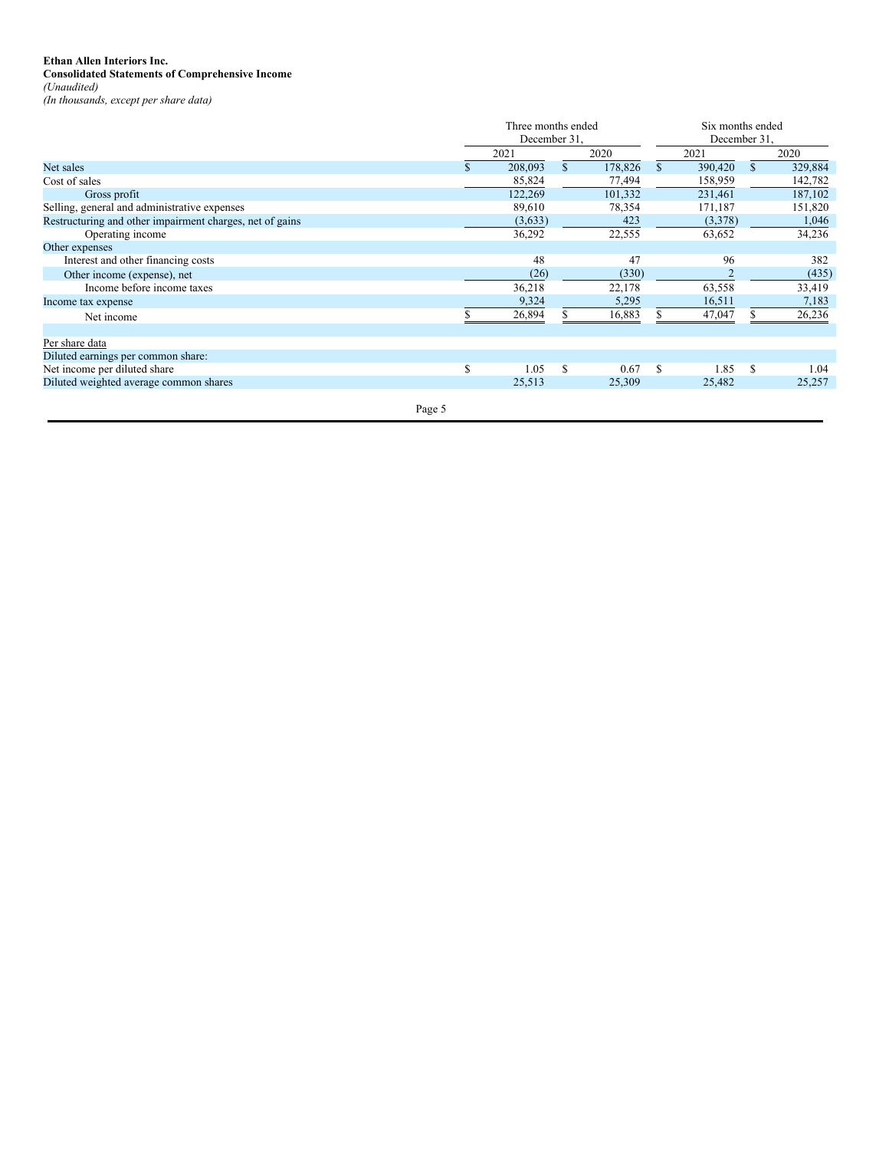#### **Ethan Allen Interiors Inc.**

**Consolidated Statements of Comprehensive Income** *(Unaudited)*

*(In thousands, except per share data)*

|                                                          | Three months ended |              |         |               |         | Six months ended |              |              |         |  |  |
|----------------------------------------------------------|--------------------|--------------|---------|---------------|---------|------------------|--------------|--------------|---------|--|--|
|                                                          |                    | December 31, |         |               |         |                  | December 31, |              |         |  |  |
|                                                          |                    |              | 2021    | 2020          |         | 2021             |              |              | 2020    |  |  |
| Net sales                                                |                    | S.           | 208,093 | $\mathbb{S}$  | 178,826 | $\mathbb{S}$     | 390,420      | $\mathbb{S}$ | 329,884 |  |  |
| Cost of sales                                            |                    |              | 85,824  |               | 77,494  |                  | 158,959      |              | 142,782 |  |  |
| Gross profit                                             |                    |              | 122,269 |               | 101,332 |                  | 231,461      |              | 187,102 |  |  |
| Selling, general and administrative expenses             |                    |              | 89,610  |               | 78,354  |                  | 171,187      |              | 151,820 |  |  |
| Restructuring and other impairment charges, net of gains |                    |              | (3,633) |               | 423     |                  | (3,378)      |              | 1,046   |  |  |
| Operating income                                         |                    |              | 36,292  |               | 22,555  |                  | 63,652       |              | 34,236  |  |  |
| Other expenses                                           |                    |              |         |               |         |                  |              |              |         |  |  |
| Interest and other financing costs                       |                    |              | 48      |               | 47      |                  | 96           |              | 382     |  |  |
| Other income (expense), net                              |                    |              | (26)    |               | (330)   |                  |              |              | (435)   |  |  |
| Income before income taxes                               |                    |              | 36,218  |               | 22,178  |                  | 63,558       |              | 33,419  |  |  |
| Income tax expense                                       |                    |              | 9,324   |               | 5,295   |                  | 16,511       |              | 7,183   |  |  |
| Net income                                               |                    |              | 26,894  |               | 16,883  |                  | 47,047       |              | 26,236  |  |  |
|                                                          |                    |              |         |               |         |                  |              |              |         |  |  |
| Per share data                                           |                    |              |         |               |         |                  |              |              |         |  |  |
| Diluted earnings per common share:                       |                    |              |         |               |         |                  |              |              |         |  |  |
| Net income per diluted share                             |                    | \$           | 1.05    | <sup>\$</sup> | 0.67    | <sup>\$</sup>    | 1.85         | \$.          | 1.04    |  |  |
| Diluted weighted average common shares                   |                    |              | 25,513  |               | 25,309  |                  | 25,482       |              | 25,257  |  |  |
|                                                          |                    |              |         |               |         |                  |              |              |         |  |  |
|                                                          | Page 5             |              |         |               |         |                  |              |              |         |  |  |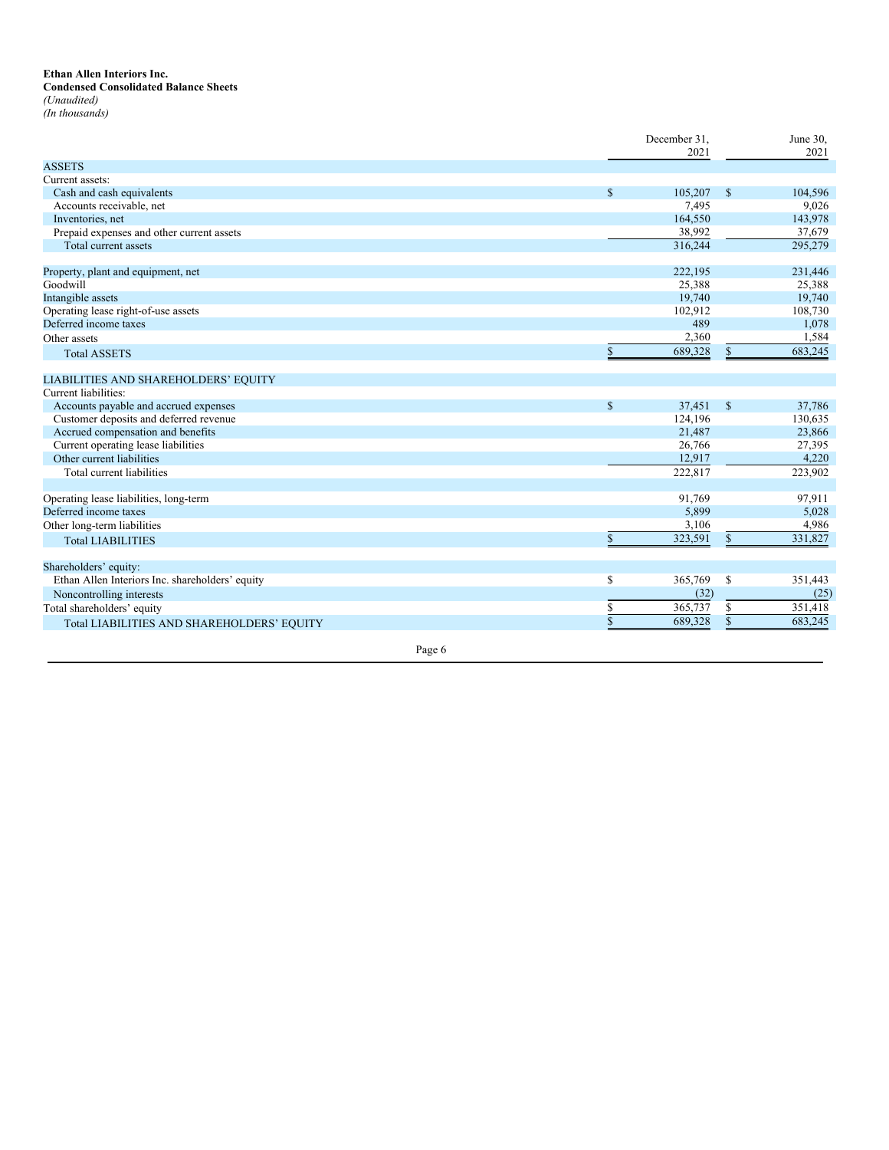#### Ethan Allen Interiors Inc.

**Condensed Consolidated B a l a n c e S h e e t s** *(Unaudited) (In thousands)* 

December 31 1, June 30, 2021 2021 **ASSETS** Current assets: Cash and cash equivalents \$ 1 0 5,2 0 7 \$ 1 0 4,5 9 6 Accounts receivable, net 7,4 9 5 9,0 2 6 Inventories, net 1 6 4,5 5 0 1 4 3,9 7 8 Prepaid expenses and other current assets 3 8,9 9 2 3 7,6 7 9 Total current assets 3 1 6,2 4 4 2 9 5,2 7 9 Property, plant and equipment, net 222,195 2 3 1,4 4 6 Goodwill 2 5,3 8 8 2 5,3 8 8 Intangible assets 1 9,7 4 0 1 9,7 4 0 Operating lease right-of-use assets 1 0 2,9 1 2 1 0 8,7 3 0 Deferred income taxes 4 8 9 1,0 7 8 Other assets 2,3 6 0 1,5 8 4 Total ASSETS \$ 6 8 9,3 2 8 \$ 6 8 3,2 4 5 LIABILITIES AND SHAREHOLDERS' EQUITY Current liabilities: Accounts payable and accrued expenses \$ 3 7,4 5 1 \$ 3 7,7 8 6 Customer deposits and deferred revenue 1 2 4,1 9 6 1 3 0,6 3 5 Accrued compensation and benefits 2 1,4 8 7 2 3,8 6 6 Current operating lease liabilities 2 6,7 6 6 2 7,3 9 5 Other current liabilities 1 2,9 1 7 4,2 2 0 Total current liabilities 222,817 2 2 3,9 0 2 Operating lease liabilities, long-term 9 1,7 6 9 9 7,9 1 1 Deferred income taxes 5,8 9 9 5,0 2 8 Other long-term liabilities 3,1 0 6 4,9 8 6 Total LIABILITIES \$ 323,591 \$ 3 3 1,8 2 7 Shareholders' equity: Ethan Allen Interiors Inc. shareholders' equity \$ 3 6 5,7 6 9 \$ 3 5 1,4 4 3 Noncontrolling interests  $(32)$  $(25)$ Total shareholders' equity  $\overline{s}$ 3 6 5,7 3 7 \$ 3 5 1,4 1 8 Total LIABILITIES AND SHAREHOLDERS' EQUITY \$ 6 8 9,3 2 8 \$ 6 8 3,2 4 5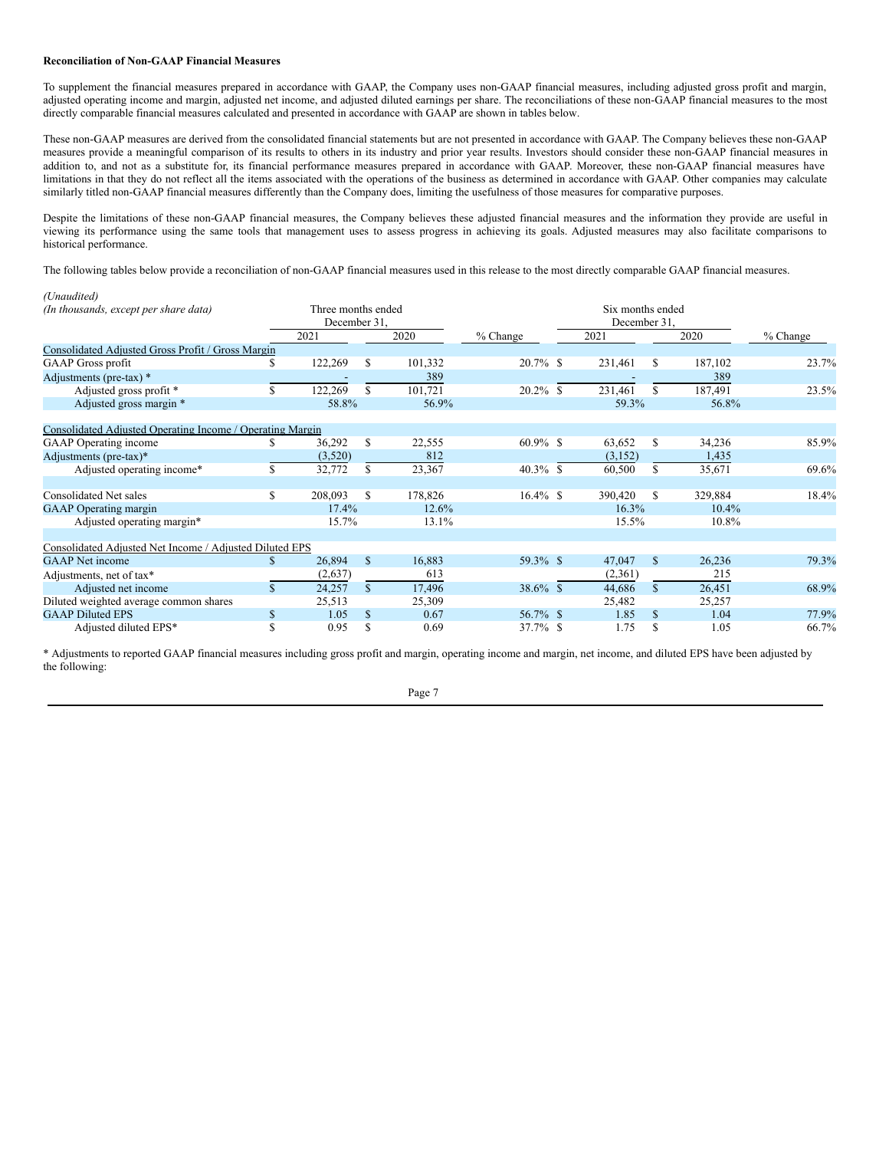## **Reconciliation of Non-GAAP Financial Measures**

*(Unaudited)*

To supplement the financial measures prepared in accordance with GAAP, the Company uses non-GAAP financial measures, including adjusted gross profit and margin, adjusted operating income and margin, adjusted net income, and adjusted diluted earnings per share. The reconciliations of these non-GAAP financial measures to the most directly comparable financial measures calculated and presented in accordance with GAAP are shown in tables below.

These non-GAAP measures are derived from the consolidated financial statements but are not presented in accordance with GAAP. The Company believes these non-GAAP measures provide a meaningful comparison of its results to others in its industry and prior year results. Investors should consider these non-GAAP financial measures in addition to, and not as a substitute for, its financial performance measures prepared in accordance with GAAP. Moreover, these non-GAAP financial measures have limitations in that they do not reflect all the items associated with the operations of the business as determined in accordance with GAAP. Other companies may calculate similarly titled non-GAAP financial measures differently than the Company does, limiting the usefulness of those measures for comparative purposes.

Despite the limitations of these non-GAAP financial measures, the Company believes these adjusted financial measures and the information they provide are useful in viewing its performance using the same tools that management uses to assess progress in achieving its goals. Adjusted measures may also facilitate comparisons to historical performance.

The following tables below provide a reconciliation of non-GAAP financial measures used in this release to the most directly comparable GAAP financial measures.

| (Unauattea)                                               |     |                    |               |          |             |  |                  |              |          |            |  |
|-----------------------------------------------------------|-----|--------------------|---------------|----------|-------------|--|------------------|--------------|----------|------------|--|
| (In thousands, except per share data)                     |     | Three months ended |               |          |             |  | Six months ended |              |          |            |  |
|                                                           |     | December 31,       |               |          |             |  | December 31,     |              |          |            |  |
|                                                           |     | 2021               |               | 2020     | $%$ Change  |  | 2021             |              | 2020     | $%$ Change |  |
| Consolidated Adjusted Gross Profit / Gross Margin         |     |                    |               |          |             |  |                  |              |          |            |  |
| <b>GAAP</b> Gross profit                                  | S   | 122,269            | S             | 101,332  | $20.7\%$ \$ |  | 231,461          | S            | 187,102  | 23.7%      |  |
| Adjustments (pre-tax) *                                   |     |                    |               | 389      |             |  |                  |              | 389      |            |  |
| Adjusted gross profit *                                   | S   | 122,269            | \$.           | 101,721  | $20.2\%$ \$ |  | 231,461          | S.           | 187,491  | 23.5%      |  |
| Adjusted gross margin *                                   |     | 58.8%              |               | 56.9%    |             |  | 59.3%            |              | 56.8%    |            |  |
|                                                           |     |                    |               |          |             |  |                  |              |          |            |  |
| Consolidated Adjusted Operating Income / Operating Margin |     |                    |               |          |             |  |                  |              |          |            |  |
| GAAP Operating income                                     | S   | 36,292             | S             | 22,555   | $60.9\%$ \$ |  | 63,652           | S            | 34,236   | 85.9%      |  |
| Adjustments (pre-tax)*                                    |     | (3,520)            |               | 812      |             |  | (3,152)          |              | 1,435    |            |  |
| Adjusted operating income*                                | \$  | 32,772             | \$            | 23,367   | $40.3\%$ \$ |  | 60,500           | S            | 35,671   | 69.6%      |  |
|                                                           |     |                    |               |          |             |  |                  |              |          |            |  |
| <b>Consolidated Net sales</b>                             | S   | 208,093            | <b>S</b>      | 178,826  | $16.4\%$ \$ |  | 390,420          | S            | 329,884  | 18.4%      |  |
| <b>GAAP</b> Operating margin                              |     | 17.4%              |               | $12.6\%$ |             |  | 16.3%            |              | $10.4\%$ |            |  |
| Adjusted operating margin*                                |     | 15.7%              |               | $13.1\%$ |             |  | 15.5%            |              | 10.8%    |            |  |
|                                                           |     |                    |               |          |             |  |                  |              |          |            |  |
| Consolidated Adjusted Net Income / Adjusted Diluted EPS   |     |                    |               |          |             |  |                  |              |          |            |  |
| <b>GAAP</b> Net income                                    | \$. | 26,894             | <sup>S</sup>  | 16,883   | 59.3% \$    |  | 47,047           | \$.          | 26,236   | 79.3%      |  |
| Adjustments, net of tax*                                  |     | (2,637)            |               | 613      |             |  | (2,361)          |              | 215      |            |  |
| Adjusted net income                                       | \$. | 24,257             | $\mathcal{S}$ | 17,496   | 38.6% \$    |  | 44,686           | $\mathbf{s}$ | 26,451   | 68.9%      |  |
| Diluted weighted average common shares                    |     | 25,513             |               | 25,309   |             |  | 25,482           |              | 25,257   |            |  |
| <b>GAAP Diluted EPS</b>                                   | S   | 1.05               | S             | 0.67     | 56.7% \$    |  | 1.85             | S            | 1.04     | 77.9%      |  |
| Adjusted diluted EPS*                                     | S   | 0.95               | S             | 0.69     | $37.7\%$ \$ |  | 1.75             | S            | 1.05     | 66.7%      |  |

\* Adjustments to reported GAAP financial measures including gross profit and margin, operating income and margin, net income, and diluted EPS have been adjusted by the following: